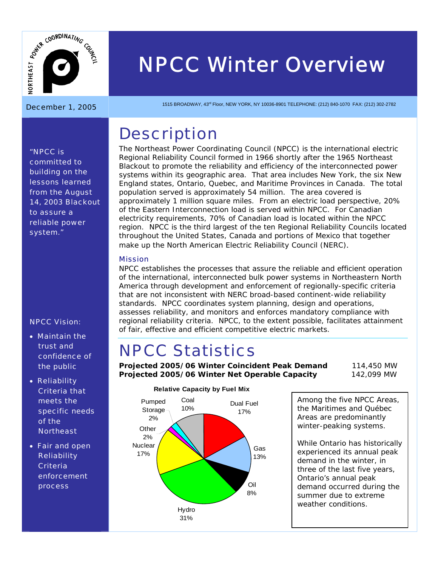

# *NPCC Winter Overview*  December 1, 2005 1515 BROADWAY, 43rd Floor, NEW YORK, NY 10036-8901 TELEPHONE: (212) 840-1070 FAX: (212) 302-2782

## **Description**

The Northeast Power Coordinating Council (NPCC) is the international electric Regional Reliability Council formed in 1966 shortly after the 1965 Northeast Blackout to promote the reliability and efficiency of the interconnected power systems within its geographic area. That area includes New York, the six New England states, Ontario, Quebec, and Maritime Provinces in Canada. The total population served is approximately 54 million. The area covered is approximately 1 million square miles. From an electric load perspective, 20% of the Eastern Interconnection load is served within NPCC. For Canadian electricity requirements, 70% of Canadian load is located within the NPCC region. NPCC is the third largest of the ten Regional Reliability Councils located throughout the United States, Canada and portions of Mexico that together make up the North American Electric Reliability Council (NERC).

#### Mission

NPCC establishes the processes that assure the reliable and efficient operation of the international, interconnected bulk power systems in Northeastern North America through development and enforcement of regionally-specific criteria that are not inconsistent with NERC broad-based continent-wide reliability standards. NPCC coordinates system planning, design and operations, assesses reliability, and monitors and enforces mandatory compliance with regional reliability criteria. NPCC, to the extent possible, facilitates attainment of fair, effective and efficient competitive electric markets.

## NPCC Statistics

**Projected 2005/06 Winter Coincident Peak Demand** 114,450 MW **Projected 2005/06 Winter Net Operable Capacity** 142,099 MW



#### **Relative Capacity by Fuel Mix**

Among the five NPCC Areas, the Maritimes and Québec Areas are predominantly winter-peaking systems.

While Ontario has historically experienced its annual peak demand in the winter, in three of the last five years, Ontario's annual peak demand occurred during the summer due to extreme weather conditions.

*"NPCC is committed to building on the lessons learned from the August 14, 2003 Blackout to assure a reliable power system."* 

#### NPCC Vision:

- Maintain the trust and confidence of the public
- Reliability Criteria that meets the specific needs of the **Northeast**
- Fair and open **Reliability Criteria** enforcement process